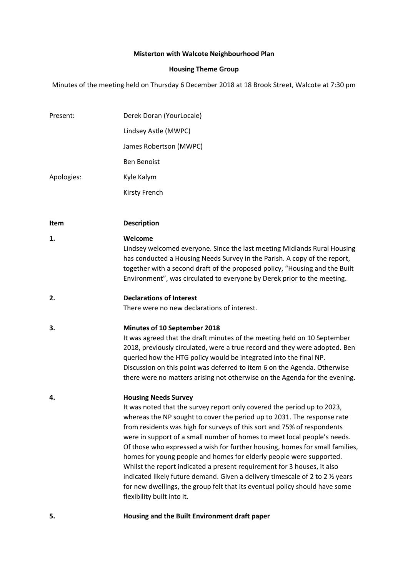# **Misterton with Walcote Neighbourhood Plan**

# **Housing Theme Group**

Minutes of the meeting held on Thursday 6 December 2018 at 18 Brook Street, Walcote at 7:30 pm

| Present:    | Derek Doran (YourLocale)                                                                                                                                                                                                                                                                                                                                                                                                                                                                                                                                                                                                                                                                                                                                                |
|-------------|-------------------------------------------------------------------------------------------------------------------------------------------------------------------------------------------------------------------------------------------------------------------------------------------------------------------------------------------------------------------------------------------------------------------------------------------------------------------------------------------------------------------------------------------------------------------------------------------------------------------------------------------------------------------------------------------------------------------------------------------------------------------------|
|             | Lindsey Astle (MWPC)                                                                                                                                                                                                                                                                                                                                                                                                                                                                                                                                                                                                                                                                                                                                                    |
|             | James Robertson (MWPC)                                                                                                                                                                                                                                                                                                                                                                                                                                                                                                                                                                                                                                                                                                                                                  |
|             | <b>Ben Benoist</b>                                                                                                                                                                                                                                                                                                                                                                                                                                                                                                                                                                                                                                                                                                                                                      |
| Apologies:  | Kyle Kalym                                                                                                                                                                                                                                                                                                                                                                                                                                                                                                                                                                                                                                                                                                                                                              |
|             | Kirsty French                                                                                                                                                                                                                                                                                                                                                                                                                                                                                                                                                                                                                                                                                                                                                           |
|             |                                                                                                                                                                                                                                                                                                                                                                                                                                                                                                                                                                                                                                                                                                                                                                         |
| <b>Item</b> | <b>Description</b>                                                                                                                                                                                                                                                                                                                                                                                                                                                                                                                                                                                                                                                                                                                                                      |
| 1.          | Welcome<br>Lindsey welcomed everyone. Since the last meeting Midlands Rural Housing<br>has conducted a Housing Needs Survey in the Parish. A copy of the report,<br>together with a second draft of the proposed policy, "Housing and the Built<br>Environment", was circulated to everyone by Derek prior to the meeting.                                                                                                                                                                                                                                                                                                                                                                                                                                              |
| 2.          | <b>Declarations of Interest</b><br>There were no new declarations of interest.                                                                                                                                                                                                                                                                                                                                                                                                                                                                                                                                                                                                                                                                                          |
| 3.          | Minutes of 10 September 2018<br>It was agreed that the draft minutes of the meeting held on 10 September<br>2018, previously circulated, were a true record and they were adopted. Ben<br>queried how the HTG policy would be integrated into the final NP.<br>Discussion on this point was deferred to item 6 on the Agenda. Otherwise<br>there were no matters arising not otherwise on the Agenda for the evening.                                                                                                                                                                                                                                                                                                                                                   |
| 4.          | <b>Housing Needs Survey</b><br>It was noted that the survey report only covered the period up to 2023,<br>whereas the NP sought to cover the period up to 2031. The response rate<br>from residents was high for surveys of this sort and 75% of respondents<br>were in support of a small number of homes to meet local people's needs.<br>Of those who expressed a wish for further housing, homes for small families,<br>homes for young people and homes for elderly people were supported.<br>Whilst the report indicated a present requirement for 3 houses, it also<br>indicated likely future demand. Given a delivery timescale of 2 to 2 % years<br>for new dwellings, the group felt that its eventual policy should have some<br>flexibility built into it. |
| 5.          | Housing and the Built Environment draft paper                                                                                                                                                                                                                                                                                                                                                                                                                                                                                                                                                                                                                                                                                                                           |